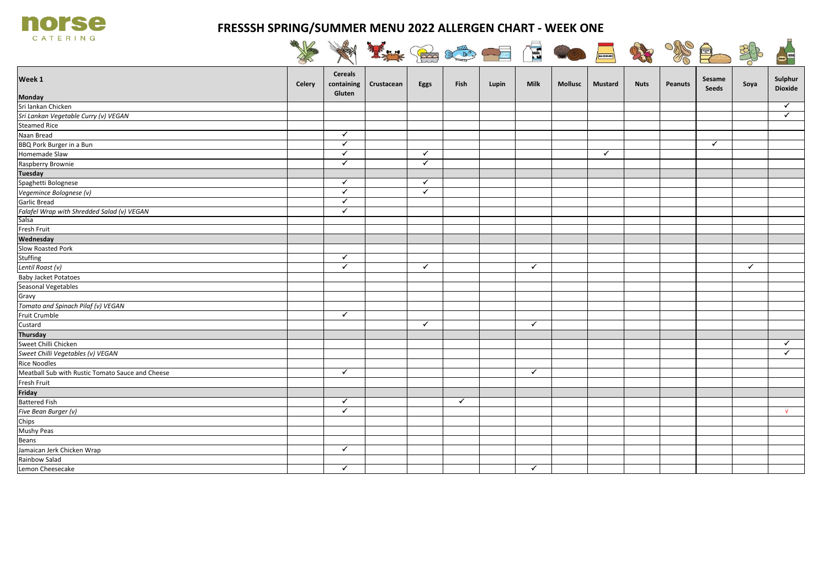

## **FRESSSH SPRING/SUMMER MENU 2022 ALLERGEN CHART - WEEK ONE**

| <b>CATERING</b>                                  |        |                                        | It for the five and the the |              |              |       |              |                |                |             |                |                 | Coco         |                           |
|--------------------------------------------------|--------|----------------------------------------|-----------------------------|--------------|--------------|-------|--------------|----------------|----------------|-------------|----------------|-----------------|--------------|---------------------------|
| Week 1                                           | Celery | <b>Cereals</b><br>containing<br>Gluten | Crustacean                  | Eggs         | Fish         | Lupin | <b>Milk</b>  | <b>Mollusc</b> | <b>Mustard</b> | <b>Nuts</b> | <b>Peanuts</b> | Sesame<br>Seeds | Soya         | Sulphur<br><b>Dioxide</b> |
| Monday                                           |        |                                        |                             |              |              |       |              |                |                |             |                |                 |              |                           |
| Sri lankan Chicken                               |        |                                        |                             |              |              |       |              |                |                |             |                |                 |              | $\checkmark$              |
| Sri Lankan Vegetable Curry (v) VEGAN             |        |                                        |                             |              |              |       |              |                |                |             |                |                 |              | $\checkmark$              |
| <b>Steamed Rice</b>                              |        |                                        |                             |              |              |       |              |                |                |             |                |                 |              |                           |
| Naan Bread                                       |        | $\checkmark$                           |                             |              |              |       |              |                |                |             |                |                 |              |                           |
| BBQ Pork Burger in a Bun                         |        | $\checkmark$                           |                             |              |              |       |              |                |                |             |                | $\checkmark$    |              |                           |
| Homemade Slaw                                    |        | $\checkmark$                           |                             | $\checkmark$ |              |       |              |                | ✓              |             |                |                 |              |                           |
| Raspberry Brownie                                |        | $\checkmark$                           |                             | $\checkmark$ |              |       |              |                |                |             |                |                 |              |                           |
| <b>Tuesday</b>                                   |        |                                        |                             |              |              |       |              |                |                |             |                |                 |              |                           |
| Spaghetti Bolognese                              |        | $\checkmark$                           |                             | $\checkmark$ |              |       |              |                |                |             |                |                 |              |                           |
| Vegemince Bolognese (v)                          |        | $\checkmark$                           |                             | $\checkmark$ |              |       |              |                |                |             |                |                 |              |                           |
| <b>Garlic Bread</b>                              |        | $\blacktriangledown$                   |                             |              |              |       |              |                |                |             |                |                 |              |                           |
| Falafel Wrap with Shredded Salad (v) VEGAN       |        | $\blacktriangledown$                   |                             |              |              |       |              |                |                |             |                |                 |              |                           |
| Salsa                                            |        |                                        |                             |              |              |       |              |                |                |             |                |                 |              |                           |
| Fresh Fruit                                      |        |                                        |                             |              |              |       |              |                |                |             |                |                 |              |                           |
| Wednesday                                        |        |                                        |                             |              |              |       |              |                |                |             |                |                 |              |                           |
| Slow Roasted Pork                                |        |                                        |                             |              |              |       |              |                |                |             |                |                 |              |                           |
| Stuffing                                         |        | $\checkmark$                           |                             |              |              |       |              |                |                |             |                |                 |              |                           |
| Lentil Roast (v)                                 |        | $\checkmark$                           |                             | $\checkmark$ |              |       | $\checkmark$ |                |                |             |                |                 | $\checkmark$ |                           |
| <b>Baby Jacket Potatoes</b>                      |        |                                        |                             |              |              |       |              |                |                |             |                |                 |              |                           |
| Seasonal Vegetables                              |        |                                        |                             |              |              |       |              |                |                |             |                |                 |              |                           |
| Gravy                                            |        |                                        |                             |              |              |       |              |                |                |             |                |                 |              |                           |
| Tomato and Spinach Pilaf (v) VEGAN               |        |                                        |                             |              |              |       |              |                |                |             |                |                 |              |                           |
| Fruit Crumble                                    |        | $\checkmark$                           |                             |              |              |       |              |                |                |             |                |                 |              |                           |
| Custard                                          |        |                                        |                             | $\checkmark$ |              |       | $\checkmark$ |                |                |             |                |                 |              |                           |
| <b>Thursday</b>                                  |        |                                        |                             |              |              |       |              |                |                |             |                |                 |              |                           |
| Sweet Chilli Chicken                             |        |                                        |                             |              |              |       |              |                |                |             |                |                 |              | $\checkmark$              |
| Sweet Chilli Vegetables (v) VEGAN                |        |                                        |                             |              |              |       |              |                |                |             |                |                 |              | $\checkmark$              |
| <b>Rice Noodles</b>                              |        |                                        |                             |              |              |       |              |                |                |             |                |                 |              |                           |
| Meatball Sub with Rustic Tomato Sauce and Cheese |        | $\checkmark$                           |                             |              |              |       | $\checkmark$ |                |                |             |                |                 |              |                           |
| Fresh Fruit                                      |        |                                        |                             |              |              |       |              |                |                |             |                |                 |              |                           |
| Friday                                           |        |                                        |                             |              |              |       |              |                |                |             |                |                 |              |                           |
| <b>Battered Fish</b>                             |        | ✓                                      |                             |              | $\checkmark$ |       |              |                |                |             |                |                 |              |                           |
| Five Bean Burger (v)                             |        | ✓                                      |                             |              |              |       |              |                |                |             |                |                 |              | $\sqrt{ }$                |
| Chips                                            |        |                                        |                             |              |              |       |              |                |                |             |                |                 |              |                           |
| Mushy Peas                                       |        |                                        |                             |              |              |       |              |                |                |             |                |                 |              |                           |
| Beans                                            |        |                                        |                             |              |              |       |              |                |                |             |                |                 |              |                           |
| Jamaican Jerk Chicken Wrap                       |        | $\checkmark$                           |                             |              |              |       |              |                |                |             |                |                 |              |                           |
| Rainbow Salad                                    |        |                                        |                             |              |              |       |              |                |                |             |                |                 |              |                           |
| Lemon Cheesecake                                 |        | ✓                                      |                             |              |              |       | $\checkmark$ |                |                |             |                |                 |              |                           |
|                                                  |        |                                        |                             |              |              |       |              |                |                |             |                |                 |              |                           |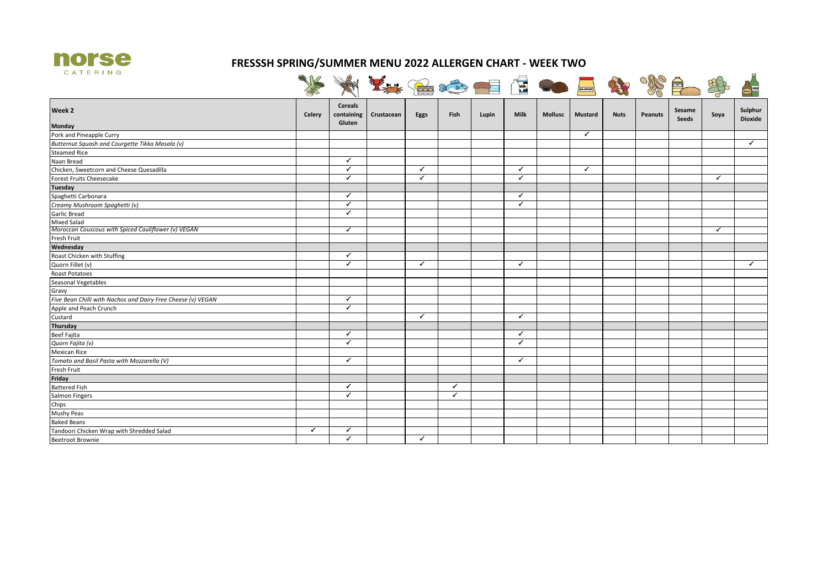

## **FRESSSH SPRING/SUMMER MENU 2022 ALLERGEN CHART - WEEK TWO**

| 欢良<br><b>Nuts</b> | <b>Mustard</b> |                |                                                              | <b>Books of the Company of</b> |      |              |            |                                                   |              |                                                                                                   |
|-------------------|----------------|----------------|--------------------------------------------------------------|--------------------------------|------|--------------|------------|---------------------------------------------------|--------------|---------------------------------------------------------------------------------------------------|
|                   |                |                |                                                              |                                |      |              |            |                                                   |              |                                                                                                   |
|                   |                | <b>Mollusc</b> | <b>Milk</b>                                                  | Lupin                          | Fish | Eggs         | Crustacean | <b>Cereals</b><br>containing                      | Celery       |                                                                                                   |
|                   |                |                |                                                              |                                |      |              |            | Gluten                                            |              |                                                                                                   |
|                   | ✓              |                |                                                              |                                |      |              |            |                                                   |              | Pork and Pineapple Curry                                                                          |
|                   |                |                |                                                              |                                |      |              |            |                                                   |              | Butternut Squash and Courgette Tikka Masala (v)                                                   |
|                   |                |                |                                                              |                                |      |              |            |                                                   |              | <b>Steamed Rice</b>                                                                               |
|                   |                |                |                                                              |                                |      |              |            | ✓                                                 |              | Naan Bread                                                                                        |
|                   | ✓              |                | $\checkmark$                                                 |                                |      | ✓            |            | $\checkmark$                                      |              | Chicken, Sweetcorn and Cheese Quesadilla                                                          |
|                   |                |                | ✓                                                            |                                |      | ✓            |            | ✓                                                 |              | Forest Fruits Cheesecake                                                                          |
|                   |                |                |                                                              |                                |      |              |            |                                                   |              |                                                                                                   |
|                   |                |                | $\checkmark$                                                 |                                |      |              |            | ✓                                                 |              | Spaghetti Carbonara                                                                               |
|                   |                |                | $\checkmark$                                                 |                                |      |              |            | ✓                                                 |              | Creamy Mushroom Spaghetti (v)                                                                     |
|                   |                |                |                                                              |                                |      |              |            | ✓                                                 |              | <b>Garlic Bread</b>                                                                               |
|                   |                |                |                                                              |                                |      |              |            |                                                   |              | <b>Mixed Salad</b>                                                                                |
|                   |                |                |                                                              |                                |      |              |            | ✓                                                 |              | Moroccan Couscous with Spiced Cauliflower (v) VEGAN                                               |
|                   |                |                |                                                              |                                |      |              |            |                                                   |              | Fresh Fruit                                                                                       |
|                   |                |                |                                                              |                                |      |              |            |                                                   |              | Wednesday                                                                                         |
|                   |                |                |                                                              |                                |      |              |            | $\checkmark$                                      |              | Roast Chicken with Stuffing                                                                       |
|                   |                |                | $\checkmark$                                                 |                                |      | ✓            |            | ✓                                                 |              | Quorn Fillet (v)                                                                                  |
|                   |                |                |                                                              |                                |      |              |            |                                                   |              | Roast Potatoes                                                                                    |
|                   |                |                |                                                              |                                |      |              |            |                                                   |              | Seasonal Vegetables                                                                               |
|                   |                |                |                                                              |                                |      |              |            |                                                   |              |                                                                                                   |
|                   |                |                |                                                              |                                |      |              |            |                                                   |              |                                                                                                   |
|                   |                |                |                                                              |                                |      |              |            |                                                   |              | Apple and Peach Crunch                                                                            |
|                   |                |                |                                                              |                                |      |              |            |                                                   |              |                                                                                                   |
|                   |                |                |                                                              |                                |      |              |            |                                                   |              | Thursday                                                                                          |
|                   |                |                |                                                              |                                |      |              |            |                                                   |              |                                                                                                   |
|                   |                |                |                                                              |                                |      |              |            |                                                   |              | Quorn Fajita (v)                                                                                  |
|                   |                |                |                                                              |                                |      |              |            |                                                   |              | <b>Mexican Rice</b>                                                                               |
|                   |                |                |                                                              |                                |      |              |            | ✓                                                 |              | Tomato and Basil Pasta with Mozzarella (V)                                                        |
|                   |                |                |                                                              |                                |      |              |            |                                                   |              |                                                                                                   |
|                   |                |                |                                                              |                                |      |              |            |                                                   |              |                                                                                                   |
|                   |                |                |                                                              |                                | ✓    |              |            | ✓                                                 |              | <b>Battered Fish</b>                                                                              |
|                   |                |                |                                                              |                                | ✓    |              |            | ✓                                                 |              | Salmon Fingers                                                                                    |
|                   |                |                |                                                              |                                |      |              |            |                                                   |              |                                                                                                   |
|                   |                |                |                                                              |                                |      |              |            |                                                   |              | Mushy Peas                                                                                        |
|                   |                |                |                                                              |                                |      |              |            |                                                   |              | <b>Baked Beans</b>                                                                                |
|                   |                |                |                                                              |                                |      |              |            | ✓                                                 | $\checkmark$ | Tandoori Chicken Wrap with Shredded Salad                                                         |
|                   |                |                |                                                              |                                |      |              |            |                                                   |              |                                                                                                   |
|                   |                |                | $\checkmark$<br>$\checkmark$<br>$\checkmark$<br>$\checkmark$ |                                |      | $\checkmark$ |            | ✓<br>$\checkmark$<br>$\checkmark$<br>$\checkmark$ |              | Five Bean Chilli with Nachos and Dairy Free Cheese (v) VEGAN<br><b>Beef Fajita</b><br>Fresh Fruit |